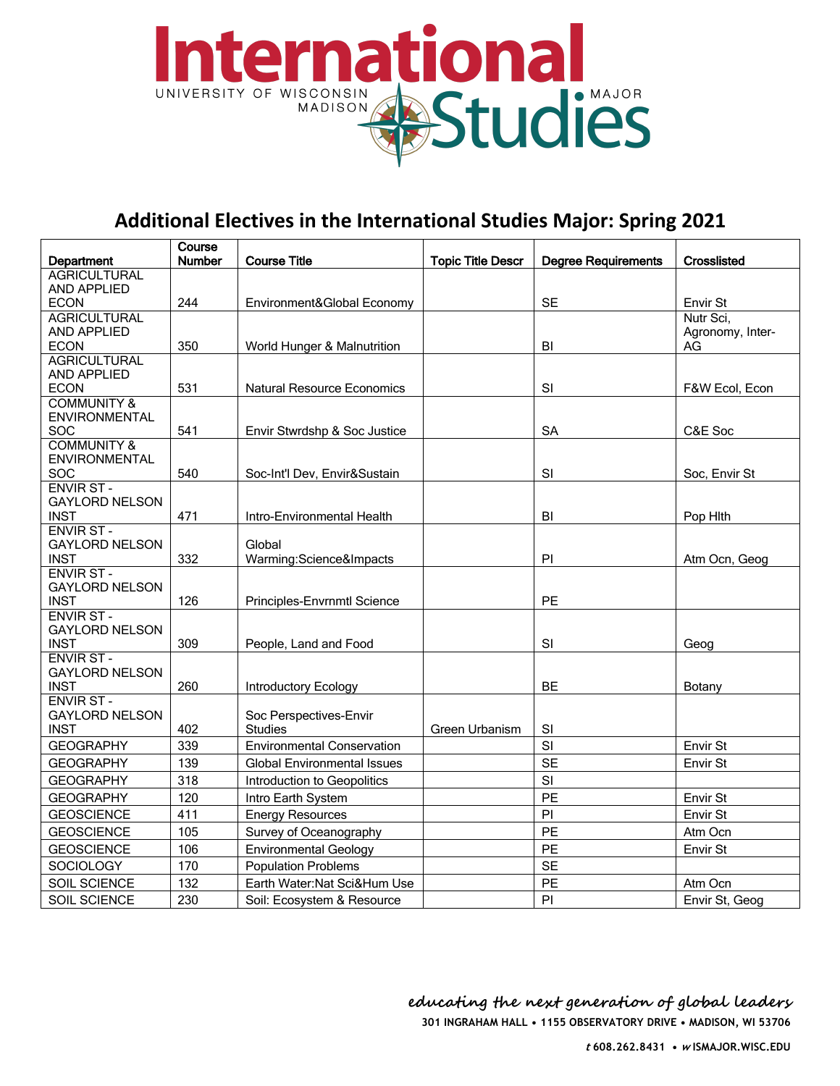

## **Additional Electives in the International Studies Major: Spring 2021**

|                                           | Course        |                                    |                          |                            |                  |
|-------------------------------------------|---------------|------------------------------------|--------------------------|----------------------------|------------------|
| Department                                | <b>Number</b> | <b>Course Title</b>                | <b>Topic Title Descr</b> | <b>Degree Requirements</b> | Crosslisted      |
| <b>AGRICULTURAL</b><br>AND APPLIED        |               |                                    |                          |                            |                  |
| <b>ECON</b>                               | 244           | Environment&Global Economy         |                          | <b>SE</b>                  | Envir St         |
| <b>AGRICULTURAL</b>                       |               |                                    |                          |                            | Nutr Sci,        |
| <b>AND APPLIED</b>                        |               |                                    |                          |                            | Agronomy, Inter- |
| <b>ECON</b>                               | 350           | World Hunger & Malnutrition        |                          | BI                         | AG               |
| <b>AGRICULTURAL</b>                       |               |                                    |                          |                            |                  |
| <b>AND APPLIED</b><br><b>ECON</b>         | 531           |                                    |                          | SI                         |                  |
| <b>COMMUNITY &amp;</b>                    |               | <b>Natural Resource Economics</b>  |                          |                            | F&W Ecol, Econ   |
| <b>ENVIRONMENTAL</b>                      |               |                                    |                          |                            |                  |
| <b>SOC</b>                                | 541           | Envir Stwrdshp & Soc Justice       |                          | <b>SA</b>                  | C&E Soc          |
| <b>COMMUNITY &amp;</b>                    |               |                                    |                          |                            |                  |
| <b>ENVIRONMENTAL</b>                      |               |                                    |                          |                            |                  |
| SOC                                       | 540           | Soc-Int'l Dev, Envir&Sustain       |                          | <b>SI</b>                  | Soc. Envir St    |
| <b>ENVIR ST-</b>                          |               |                                    |                          |                            |                  |
| <b>GAYLORD NELSON</b><br><b>INST</b>      | 471           | Intro-Environmental Health         |                          | BI                         | Pop Hith         |
| <b>ENVIR ST-</b>                          |               |                                    |                          |                            |                  |
| <b>GAYLORD NELSON</b>                     |               | Global                             |                          |                            |                  |
| <b>INST</b>                               | 332           | Warming:Science&Impacts            |                          | PI                         | Atm Ocn, Geog    |
| <b>ENVIR ST-</b>                          |               |                                    |                          |                            |                  |
| <b>GAYLORD NELSON</b>                     |               |                                    |                          |                            |                  |
| <b>INST</b>                               | 126           | Principles-Envrnmtl Science        |                          | <b>PE</b>                  |                  |
| <b>ENVIR ST-</b><br><b>GAYLORD NELSON</b> |               |                                    |                          |                            |                  |
| <b>INST</b>                               | 309           | People, Land and Food              |                          | SI                         | Geog             |
| <b>ENVIR ST-</b>                          |               |                                    |                          |                            |                  |
| <b>GAYLORD NELSON</b>                     |               |                                    |                          |                            |                  |
| <b>INST</b>                               | 260           | Introductory Ecology               |                          | <b>BE</b>                  | Botany           |
| <b>ENVIR ST-</b>                          |               |                                    |                          |                            |                  |
| <b>GAYLORD NELSON</b>                     |               | Soc Perspectives-Envir             |                          |                            |                  |
| <b>INST</b>                               | 402           | <b>Studies</b>                     | <b>Green Urbanism</b>    | SI                         |                  |
| <b>GEOGRAPHY</b>                          | 339           | <b>Environmental Conservation</b>  |                          | SI                         | Envir St         |
| <b>GEOGRAPHY</b>                          | 139           | <b>Global Environmental Issues</b> |                          | <b>SE</b>                  | Envir St         |
| <b>GEOGRAPHY</b>                          | 318           | Introduction to Geopolitics        |                          | SI                         |                  |
| <b>GEOGRAPHY</b>                          | 120           | Intro Earth System                 |                          | PE                         | Envir St         |
| <b>GEOSCIENCE</b>                         | 411           | <b>Energy Resources</b>            |                          | PI                         | Envir St         |
| <b>GEOSCIENCE</b>                         | 105           | Survey of Oceanography             |                          | PE                         | Atm Ocn          |
| <b>GEOSCIENCE</b>                         | 106           | <b>Environmental Geology</b>       |                          | PE                         | Envir St         |
| <b>SOCIOLOGY</b>                          | 170           | <b>Population Problems</b>         |                          | <b>SE</b>                  |                  |
| SOIL SCIENCE                              | 132           | Earth Water: Nat Sci&Hum Use       |                          | PE                         | Atm Ocn          |
| SOIL SCIENCE                              | 230           | Soil: Ecosystem & Resource         |                          | PI                         | Envir St, Geog   |

**301 INGRAHAM HALL • 1155 OBSERVATORY DRIVE • MADISON, WI 53706 educating the next generation of global leaders**